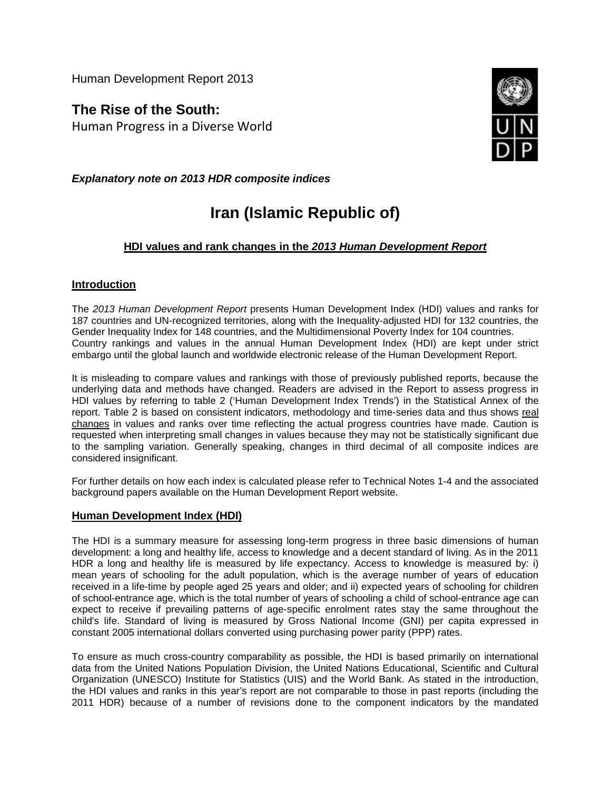Human Development Report 2013

**The Rise of the South:** Human Progress in a Diverse World



*Explanatory note on 2013 HDR composite indices*

# **Iran (Islamic Republic of)**

# **HDI values and rank changes in the** *2013 Human Development Report*

## **Introduction**

The *2013 Human Development Report* presents Human Development Index (HDI) values and ranks for 187 countries and UN-recognized territories, along with the Inequality-adjusted HDI for 132 countries, the Gender Inequality Index for 148 countries, and the Multidimensional Poverty Index for 104 countries. Country rankings and values in the annual Human Development Index (HDI) are kept under strict embargo until the global launch and worldwide electronic release of the Human Development Report.

It is misleading to compare values and rankings with those of previously published reports, because the underlying data and methods have changed. Readers are advised in the Report to assess progress in HDI values by referring to table 2 ('Human Development Index Trends') in the Statistical Annex of the report. Table 2 is based on consistent indicators, methodology and time-series data and thus shows real changes in values and ranks over time reflecting the actual progress countries have made. Caution is requested when interpreting small changes in values because they may not be statistically significant due to the sampling variation. Generally speaking, changes in third decimal of all composite indices are considered insignificant.

For further details on how each index is calculated please refer to Technical Notes 1-4 and the associated background papers available on the Human Development Report website.

#### **Human Development Index (HDI)**

The HDI is a summary measure for assessing long-term progress in three basic dimensions of human development: a long and healthy life, access to knowledge and a decent standard of living. As in the 2011 HDR a long and healthy life is measured by life expectancy. Access to knowledge is measured by: i) mean years of schooling for the adult population, which is the average number of years of education received in a life-time by people aged 25 years and older; and ii) expected years of schooling for children of school-entrance age, which is the total number of years of schooling a child of school-entrance age can expect to receive if prevailing patterns of age-specific enrolment rates stay the same throughout the child's life. Standard of living is measured by Gross National Income (GNI) per capita expressed in constant 2005 international dollars converted using purchasing power parity (PPP) rates.

To ensure as much cross-country comparability as possible, the HDI is based primarily on international data from the United Nations Population Division, the United Nations Educational, Scientific and Cultural Organization (UNESCO) Institute for Statistics (UIS) and the World Bank. As stated in the introduction, the HDI values and ranks in this year's report are not comparable to those in past reports (including the 2011 HDR) because of a number of revisions done to the component indicators by the mandated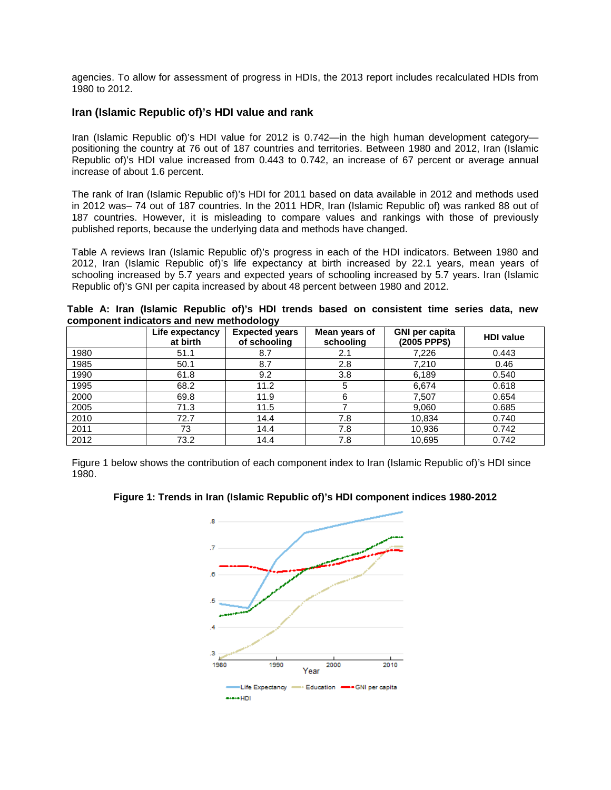agencies. To allow for assessment of progress in HDIs, the 2013 report includes recalculated HDIs from 1980 to 2012.

#### **Iran (Islamic Republic of)'s HDI value and rank**

Iran (Islamic Republic of)'s HDI value for 2012 is 0.742—in the high human development category positioning the country at 76 out of 187 countries and territories. Between 1980 and 2012, Iran (Islamic Republic of)'s HDI value increased from 0.443 to 0.742, an increase of 67 percent or average annual increase of about 1.6 percent.

The rank of Iran (Islamic Republic of)'s HDI for 2011 based on data available in 2012 and methods used in 2012 was– 74 out of 187 countries. In the 2011 HDR, Iran (Islamic Republic of) was ranked 88 out of 187 countries. However, it is misleading to compare values and rankings with those of previously published reports, because the underlying data and methods have changed.

Table A reviews Iran (Islamic Republic of)'s progress in each of the HDI indicators. Between 1980 and 2012, Iran (Islamic Republic of)'s life expectancy at birth increased by 22.1 years, mean years of schooling increased by 5.7 years and expected years of schooling increased by 5.7 years. Iran (Islamic Republic of)'s GNI per capita increased by about 48 percent between 1980 and 2012.

|                                          |  |  |  |  |  |  |  |  |  | Table A: Iran (Islamic Republic of)'s HDI trends based on consistent time series data, new |  |  |  |  |
|------------------------------------------|--|--|--|--|--|--|--|--|--|--------------------------------------------------------------------------------------------|--|--|--|--|
| component indicators and new methodology |  |  |  |  |  |  |  |  |  |                                                                                            |  |  |  |  |

|      | Life expectancy<br>at birth | <b>Expected years</b><br>of schooling | Mean years of<br>schooling | <b>GNI per capita</b><br>(2005 PPP\$) | <b>HDI</b> value |
|------|-----------------------------|---------------------------------------|----------------------------|---------------------------------------|------------------|
| 1980 | 51.1                        | 8.7                                   | 2.1                        | 7,226                                 | 0.443            |
| 1985 | 50.1                        | 8.7                                   | 2.8                        | 7,210                                 | 0.46             |
| 1990 | 61.8                        | 9.2                                   | 3.8                        | 6,189                                 | 0.540            |
| 1995 | 68.2                        | 11.2                                  | 5                          | 6,674                                 | 0.618            |
| 2000 | 69.8                        | 11.9                                  | 6                          | 7,507                                 | 0.654            |
| 2005 | 71.3                        | 11.5                                  |                            | 9,060                                 | 0.685            |
| 2010 | 72.7                        | 14.4                                  | 7.8                        | 10,834                                | 0.740            |
| 2011 | 73                          | 14.4                                  | 7.8                        | 10,936                                | 0.742            |
| 2012 | 73.2                        | 14.4                                  | 7.8                        | 10,695                                | 0.742            |

Figure 1 below shows the contribution of each component index to Iran (Islamic Republic of)'s HDI since 1980.



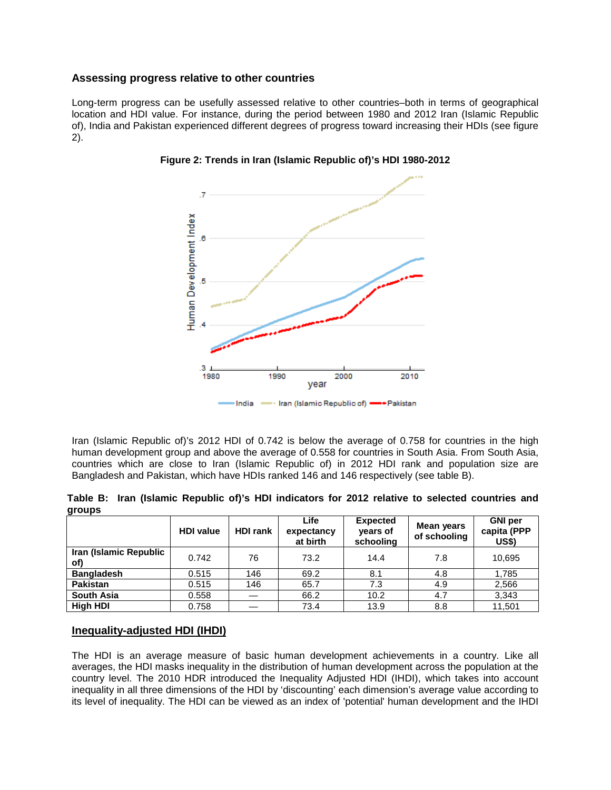#### **Assessing progress relative to other countries**

Long-term progress can be usefully assessed relative to other countries–both in terms of geographical location and HDI value. For instance, during the period between 1980 and 2012 Iran (Islamic Republic of), India and Pakistan experienced different degrees of progress toward increasing their HDIs (see figure 2).





Iran (Islamic Republic of)'s 2012 HDI of 0.742 is below the average of 0.758 for countries in the high human development group and above the average of 0.558 for countries in South Asia. From South Asia, countries which are close to Iran (Islamic Republic of) in 2012 HDI rank and population size are Bangladesh and Pakistan, which have HDIs ranked 146 and 146 respectively (see table B).

|        | Table B: Iran (Islamic Republic of)'s HDI indicators for 2012 relative to selected countries and |  |  |  |  |  |
|--------|--------------------------------------------------------------------------------------------------|--|--|--|--|--|
| groups |                                                                                                  |  |  |  |  |  |

|                               | <b>HDI</b> value | <b>HDI rank</b> | Life<br>expectancy<br>at birth | <b>Expected</b><br>years of<br>schooling | Mean years<br>of schooling | <b>GNI</b> per<br>capita (PPP<br><b>US\$)</b> |
|-------------------------------|------------------|-----------------|--------------------------------|------------------------------------------|----------------------------|-----------------------------------------------|
| Iran (Islamic Republic<br>of) | 0.742            | 76              | 73.2                           | 14.4                                     | 7.8                        | 10,695                                        |
| <b>Bangladesh</b>             | 0.515            | 146             | 69.2                           | 8.1                                      | 4.8                        | 1,785                                         |
| <b>Pakistan</b>               | 0.515            | 146             | 65.7                           | 7.3                                      | 4.9                        | 2,566                                         |
| <b>South Asia</b>             | 0.558            |                 | 66.2                           | 10.2                                     | 4.7                        | 3,343                                         |
| High HDI                      | 0.758            |                 | 73.4                           | 13.9                                     | 8.8                        | 11,501                                        |

#### **Inequality-adjusted HDI (IHDI)**

The HDI is an average measure of basic human development achievements in a country. Like all averages, the HDI masks inequality in the distribution of human development across the population at the country level. The 2010 HDR introduced the Inequality Adjusted HDI (IHDI), which takes into account inequality in all three dimensions of the HDI by 'discounting' each dimension's average value according to its level of inequality. The HDI can be viewed as an index of 'potential' human development and the IHDI